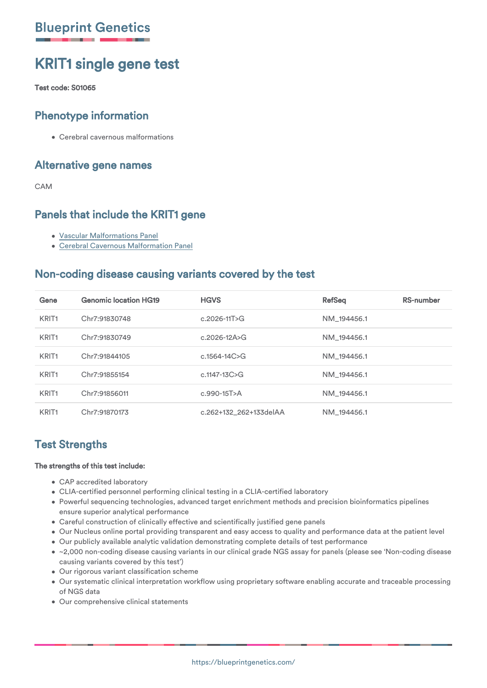# KRIT1 single gene test

#### Test code: S01065

### Phenotype information

Cerebral cavernous malformations

### Alternative gene names

#### CAM

### Panels that include the KRIT1 gene

- [Vascular Malformations Panel](https://blueprintgenetics.com/tests/panels/malformations/vascular-malformations-panel/)
- [Cerebral Cavernous Malformation Panel](https://blueprintgenetics.com/tests/panels/malformations/cerebral-cavernous-malformation-panel/)

### Non-coding disease causing variants covered by the test

| Gene              | <b>Genomic location HG19</b> | <b>HGVS</b>            | <b>RefSeg</b> | <b>RS-number</b> |
|-------------------|------------------------------|------------------------|---------------|------------------|
| KRIT <sub>1</sub> | Chr7:91830748                | $c.2026 - 11T > G$     | NM 194456.1   |                  |
| KRIT <sub>1</sub> | Chr7:91830749                | $c.2026 - 12A > G$     | NM 194456.1   |                  |
| KRIT <sub>1</sub> | Chr7:91844105                | $c.1564 - 14C > G$     | NM 194456.1   |                  |
| KRIT <sub>1</sub> | Chr7:91855154                | $c.1147 - 13C > G$     | NM 194456.1   |                  |
| KRIT <sub>1</sub> | Chr7:91856011                | $c.990 - 15T > A$      | NM 194456.1   |                  |
| KRIT <sub>1</sub> | Chr7:91870173                | c.262+132 262+133delAA | NM 194456.1   |                  |

## Test Strengths

#### The strengths of this test include:

- CAP accredited laboratory
- CLIA-certified personnel performing clinical testing in a CLIA-certified laboratory
- Powerful sequencing technologies, advanced target enrichment methods and precision bioinformatics pipelines ensure superior analytical performance
- Careful construction of clinically effective and scientifically justified gene panels
- Our Nucleus online portal providing transparent and easy access to quality and performance data at the patient level
- Our publicly available analytic validation demonstrating complete details of test performance
- ~2,000 non-coding disease causing variants in our clinical grade NGS assay for panels (please see 'Non-coding disease causing variants covered by this test')
- Our rigorous variant classification scheme
- Our systematic clinical interpretation workflow using proprietary software enabling accurate and traceable processing of NGS data
- Our comprehensive clinical statements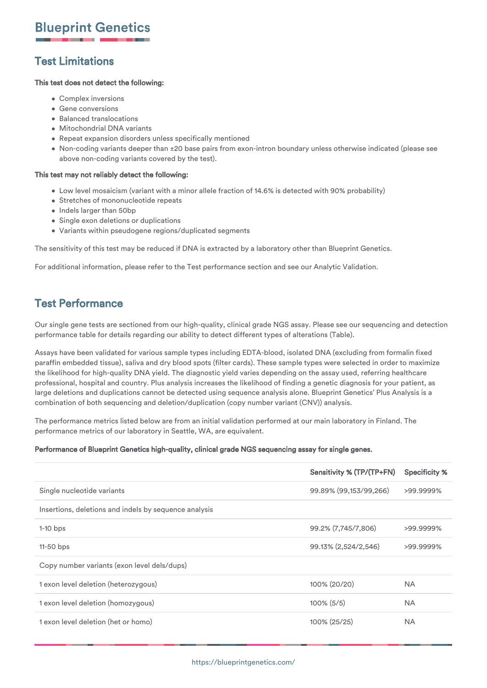## Test Limitations

#### This test does not detect the following:

- Complex inversions
- **•** Gene conversions
- **Balanced translocations**
- Mitochondrial DNA variants
- Repeat expansion disorders unless specifically mentioned
- Non-coding variants deeper than ±20 base pairs from exon-intron boundary unless otherwise indicated (please see above non-coding variants covered by the test).

#### This test may not reliably detect the following:

- Low level mosaicism (variant with a minor allele fraction of 14.6% is detected with 90% probability)
- Stretches of mononucleotide repeats
- Indels larger than 50bp
- Single exon deletions or duplications
- Variants within pseudogene regions/duplicated segments

The sensitivity of this test may be reduced if DNA is extracted by a laboratory other than Blueprint Genetics.

For additional information, please refer to the Test performance section and see our Analytic Validation.

## Test Performance

Our single gene tests are sectioned from our high-quality, clinical grade NGS assay. Please see our sequencing and detection performance table for details regarding our ability to detect different types of alterations (Table).

Assays have been validated for various sample types including EDTA-blood, isolated DNA (excluding from formalin fixed paraffin embedded tissue), saliva and dry blood spots (filter cards). These sample types were selected in order to maximize the likelihood for high-quality DNA yield. The diagnostic yield varies depending on the assay used, referring healthcare professional, hospital and country. Plus analysis increases the likelihood of finding a genetic diagnosis for your patient, as large deletions and duplications cannot be detected using sequence analysis alone. Blueprint Genetics' Plus Analysis is a combination of both sequencing and deletion/duplication (copy number variant (CNV)) analysis.

The performance metrics listed below are from an initial validation performed at our main laboratory in Finland. The performance metrics of our laboratory in Seattle, WA, are equivalent.

#### Performance of Blueprint Genetics high-quality, clinical grade NGS sequencing assay for single genes.

|                                                       | Sensitivity % (TP/(TP+FN) | <b>Specificity %</b> |
|-------------------------------------------------------|---------------------------|----------------------|
| Single nucleotide variants                            | 99.89% (99,153/99,266)    | >99.9999%            |
| Insertions, deletions and indels by sequence analysis |                           |                      |
| $1-10$ bps                                            | 99.2% (7,745/7,806)       | >99.9999%            |
| $11-50$ bps                                           | 99.13% (2,524/2,546)      | >99.9999%            |
| Copy number variants (exon level dels/dups)           |                           |                      |
| 1 exon level deletion (heterozygous)                  | 100% (20/20)              | <b>NA</b>            |
| 1 exon level deletion (homozygous)                    | $100\%$ (5/5)             | <b>NA</b>            |
| 1 exon level deletion (het or homo)                   | 100% (25/25)              | <b>NA</b>            |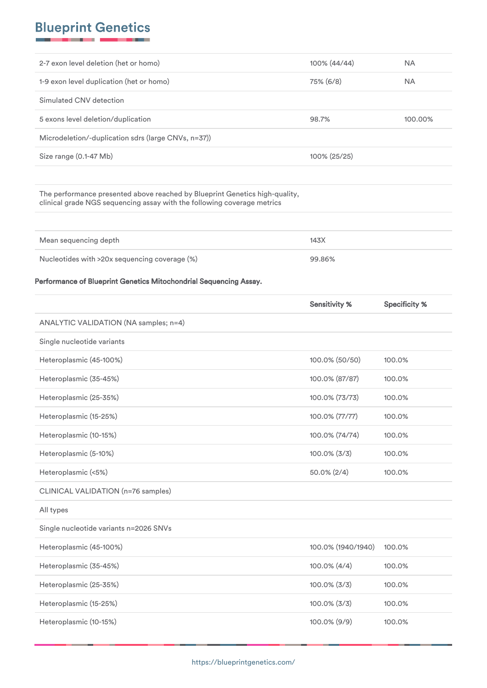| ANALYTIC VALIDATION (NA samples; n=4)                                                                                                                  |                      |                      |
|--------------------------------------------------------------------------------------------------------------------------------------------------------|----------------------|----------------------|
| Performance of Blueprint Genetics Mitochondrial Sequencing Assay.                                                                                      | <b>Sensitivity %</b> | <b>Specificity %</b> |
| Nucleotides with >20x sequencing coverage (%)                                                                                                          | 99.86%               |                      |
| Mean sequencing depth                                                                                                                                  | 143X                 |                      |
| The performance presented above reached by Blueprint Genetics high-quality,<br>clinical grade NGS sequencing assay with the following coverage metrics |                      |                      |
| Size range (0.1-47 Mb)                                                                                                                                 | 100% (25/25)         |                      |
| Microdeletion/-duplication sdrs (large CNVs, n=37))                                                                                                    |                      |                      |
| 5 exons level deletion/duplication                                                                                                                     | 98.7%                | 100.00%              |
| Simulated CNV detection                                                                                                                                |                      |                      |
| 1-9 exon level duplication (het or homo)                                                                                                               | 75% (6/8)            | <b>NA</b>            |
| 2-7 exon level deletion (het or homo)                                                                                                                  | 100% (44/44)         | <b>NA</b>            |

| Single nucleotide variants         |                 |        |
|------------------------------------|-----------------|--------|
| Heteroplasmic (45-100%)            | 100.0% (50/50)  | 100.0% |
| Heteroplasmic (35-45%)             | 100.0% (87/87)  | 100.0% |
| Heteroplasmic (25-35%)             | 100.0% (73/73)  | 100.0% |
| Heteroplasmic (15-25%)             | 100.0% (77/77)  | 100.0% |
| Heteroplasmic (10-15%)             | 100.0% (74/74)  | 100.0% |
| Heteroplasmic (5-10%)              | $100.0\%$ (3/3) | 100.0% |
| Heteroplasmic (<5%)                | $50.0\%$ (2/4)  | 100.0% |
| CLINICAL VALIDATION (n=76 samples) |                 |        |
|                                    |                 |        |

All types

Single nucleotide variants n=2026 SNVs

| Heteroplasmic (45-100%) | 100.0% (1940/1940) | 100.0% |
|-------------------------|--------------------|--------|
| Heteroplasmic (35-45%)  | $100.0\%$ (4/4)    | 100.0% |
| Heteroplasmic (25-35%)  | $100.0\%$ (3/3)    | 100.0% |
| Heteroplasmic (15-25%)  | $100.0\%$ (3/3)    | 100.0% |
| Heteroplasmic (10-15%)  | $100.0\%$ (9/9)    | 100.0% |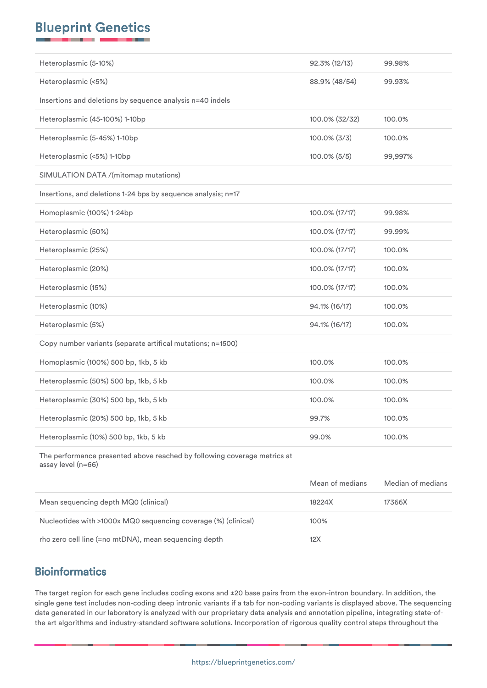| Heteroplasmic (5-10%)                                                                          | 92.3% (12/13)   | 99.98%            |
|------------------------------------------------------------------------------------------------|-----------------|-------------------|
| Heteroplasmic (<5%)                                                                            | 88.9% (48/54)   | 99.93%            |
| Insertions and deletions by sequence analysis n=40 indels                                      |                 |                   |
| Heteroplasmic (45-100%) 1-10bp                                                                 | 100.0% (32/32)  | 100.0%            |
| Heteroplasmic (5-45%) 1-10bp                                                                   | $100.0\%$ (3/3) | 100.0%            |
| Heteroplasmic (<5%) 1-10bp                                                                     | $100.0\%$ (5/5) | 99,997%           |
| SIMULATION DATA /(mitomap mutations)                                                           |                 |                   |
| Insertions, and deletions 1-24 bps by sequence analysis; n=17                                  |                 |                   |
| Homoplasmic (100%) 1-24bp                                                                      | 100.0% (17/17)  | 99.98%            |
| Heteroplasmic (50%)                                                                            | 100.0% (17/17)  | 99.99%            |
| Heteroplasmic (25%)                                                                            | 100.0% (17/17)  | 100.0%            |
| Heteroplasmic (20%)                                                                            | 100.0% (17/17)  | 100.0%            |
| Heteroplasmic (15%)                                                                            | 100.0% (17/17)  | 100.0%            |
| Heteroplasmic (10%)                                                                            | 94.1% (16/17)   | 100.0%            |
| Heteroplasmic (5%)                                                                             | 94.1% (16/17)   | 100.0%            |
| Copy number variants (separate artifical mutations; n=1500)                                    |                 |                   |
| Homoplasmic (100%) 500 bp, 1kb, 5 kb                                                           | 100.0%          | 100.0%            |
| Heteroplasmic (50%) 500 bp, 1kb, 5 kb                                                          | 100.0%          | 100.0%            |
| Heteroplasmic (30%) 500 bp, 1kb, 5 kb                                                          | 100.0%          | 100.0%            |
| Heteroplasmic (20%) 500 bp, 1kb, 5 kb                                                          | 99.7%           | 100.0%            |
| Heteroplasmic (10%) 500 bp, 1kb, 5 kb                                                          | 99.0%           | 100.0%            |
| The performance presented above reached by following coverage metrics at<br>assay level (n=66) |                 |                   |
|                                                                                                | Mean of medians | Median of medians |
| Mean sequencing depth MQ0 (clinical)                                                           | 18224X          | 17366X            |

| Nucleotides with >1000x MQ0 sequencing coverage (%) (clinical) | 100% |
|----------------------------------------------------------------|------|
| rho zero cell line (=no mtDNA), mean sequencing depth          | 12X  |

## **Bioinformatics**

The target region for each gene includes coding exons and ±20 base pairs from the exon-intron boundary. In addition, the single gene test includes non-coding deep intronic variants if a tab for non-coding variants is displayed above. The sequencing data generated in our laboratory is analyzed with our proprietary data analysis and annotation pipeline, integrating state-ofthe art algorithms and industry-standard software solutions. Incorporation of rigorous quality control steps throughout the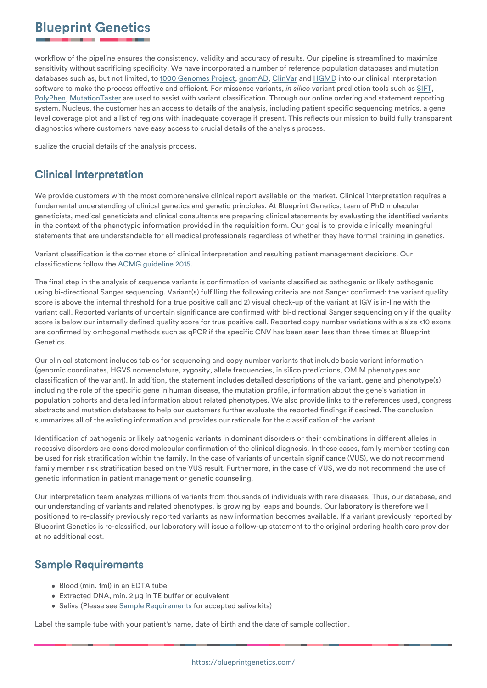workflow of the pipeline ensures the consistency, validity and accuracy of results. Our pipeline is streamlined to maximize sensitivity without sacrificing specificity. We have incorporated a number of reference population databases and mutation databases such as, but not limited, to [1000 Genomes Project](https://www.internationalgenome.org/home), [gnomAD](https://gnomad.broadinstitute.org), [ClinVar](https://www.ncbi.nlm.nih.gov/clinvar/) and [HGMD](https://blueprintgenetics.com/www.hgmd.cf.ac.uk/ac/index.php) into our clinical interpretation software to make the process effective and efficient. For missense variants, *in silico* variant prediction tools such as [SIFT,](https://sift.jcvi.org) [PolyPhen](https://genetics.bwh.harvard.edu/pph2/), [MutationTaster](https://www.mutationtaster.org) are used to assist with variant classification. Through our online ordering and statement reporting system, Nucleus, the customer has an access to details of the analysis, including patient specific sequencing metrics, a gene level coverage plot and a list of regions with inadequate coverage if present. This reflects our mission to build fully transparent diagnostics where customers have easy access to crucial details of the analysis process.

sualize the crucial details of the analysis process.

## Clinical Interpretation

We provide customers with the most comprehensive clinical report available on the market. Clinical interpretation requires a fundamental understanding of clinical genetics and genetic principles. At Blueprint Genetics, team of PhD molecular geneticists, medical geneticists and clinical consultants are preparing clinical statements by evaluating the identified variants in the context of the phenotypic information provided in the requisition form. Our goal is to provide clinically meaningful statements that are understandable for all medical professionals regardless of whether they have formal training in genetics.

Variant classification is the corner stone of clinical interpretation and resulting patient management decisions. Our classifications follow the [ACMG guideline 2015.](https://www.ncbi.nlm.nih.gov/pubmed/25741868)

The final step in the analysis of sequence variants is confirmation of variants classified as pathogenic or likely pathogenic using bi-directional Sanger sequencing. Variant(s) fulfilling the following criteria are not Sanger confirmed: the variant quality score is above the internal threshold for a true positive call and 2) visual check-up of the variant at IGV is in-line with the variant call. Reported variants of uncertain significance are confirmed with bi-directional Sanger sequencing only if the quality score is below our internally defined quality score for true positive call. Reported copy number variations with a size <10 exons are confirmed by orthogonal methods such as qPCR if the specific CNV has been seen less than three times at Blueprint Genetics.

Our clinical statement includes tables for sequencing and copy number variants that include basic variant information (genomic coordinates, HGVS nomenclature, zygosity, allele frequencies, in silico predictions, OMIM phenotypes and classification of the variant). In addition, the statement includes detailed descriptions of the variant, gene and phenotype(s) including the role of the specific gene in human disease, the mutation profile, information about the gene's variation in population cohorts and detailed information about related phenotypes. We also provide links to the references used, congress abstracts and mutation databases to help our customers further evaluate the reported findings if desired. The conclusion summarizes all of the existing information and provides our rationale for the classification of the variant.

Identification of pathogenic or likely pathogenic variants in dominant disorders or their combinations in different alleles in recessive disorders are considered molecular confirmation of the clinical diagnosis. In these cases, family member testing can be used for risk stratification within the family. In the case of variants of uncertain significance (VUS), we do not recommend family member risk stratification based on the VUS result. Furthermore, in the case of VUS, we do not recommend the use of genetic information in patient management or genetic counseling.

Our interpretation team analyzes millions of variants from thousands of individuals with rare diseases. Thus, our database, and our understanding of variants and related phenotypes, is growing by leaps and bounds. Our laboratory is therefore well positioned to re-classify previously reported variants as new information becomes available. If a variant previously reported by Blueprint Genetics is re-classified, our laboratory will issue a follow-up statement to the original ordering health care provider at no additional cost.

## Sample Requirements

- Blood (min. 1ml) in an EDTA tube
- Extracted DNA, min. 2 μg in TE buffer or equivalent
- Saliva (Please see [Sample Requirements](https://blueprintgenetics.com/sample-requirements/) for accepted saliva kits)

Label the sample tube with your patient's name, date of birth and the date of sample collection.